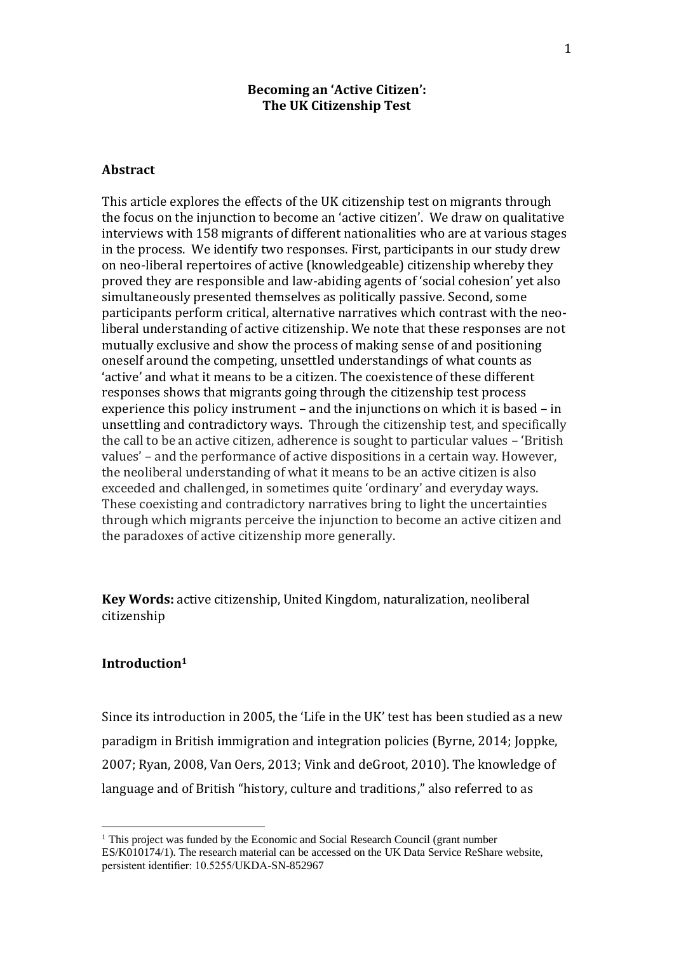## **Becoming an 'Active Citizen': The UK Citizenship Test**

## **Abstract**

This article explores the effects of the UK citizenship test on migrants through the focus on the injunction to become an 'active citizen'. We draw on qualitative interviews with 158 migrants of different nationalities who are at various stages in the process. We identify two responses. First, participants in our study drew on neo-liberal repertoires of active (knowledgeable) citizenship whereby they proved they are responsible and law-abiding agents of 'social cohesion' yet also simultaneously presented themselves as politically passive. Second, some participants perform critical, alternative narratives which contrast with the neoliberal understanding of active citizenship. We note that these responses are not mutually exclusive and show the process of making sense of and positioning oneself around the competing, unsettled understandings of what counts as 'active' and what it means to be a citizen. The coexistence of these different responses shows that migrants going through the citizenship test process experience this policy instrument – and the injunctions on which it is based – in unsettling and contradictory ways. Through the citizenship test, and specifically the call to be an active citizen, adherence is sought to particular values – 'British values' – and the performance of active dispositions in a certain way. However, the neoliberal understanding of what it means to be an active citizen is also exceeded and challenged, in sometimes quite 'ordinary' and everyday ways. These coexisting and contradictory narratives bring to light the uncertainties through which migrants perceive the injunction to become an active citizen and the paradoxes of active citizenship more generally.

**Key Words:** active citizenship, United Kingdom, naturalization, neoliberal citizenship

### **Introduction<sup>1</sup>**

Since its introduction in 2005, the 'Life in the UK' test has been studied as a new paradigm in British immigration and integration policies (Byrne, 2014; Joppke, 2007; Ryan, 2008, Van Oers, 2013; Vink and deGroot, 2010). The knowledge of language and of British "history, culture and traditions," also referred to as

<sup>&</sup>lt;sup>1</sup> This project was funded by the Economic and Social Research Council (grant number ES/K010174/1). The research material can be accessed on the UK Data Service ReShare website, persistent identifier: 10.5255/UKDA-SN-852967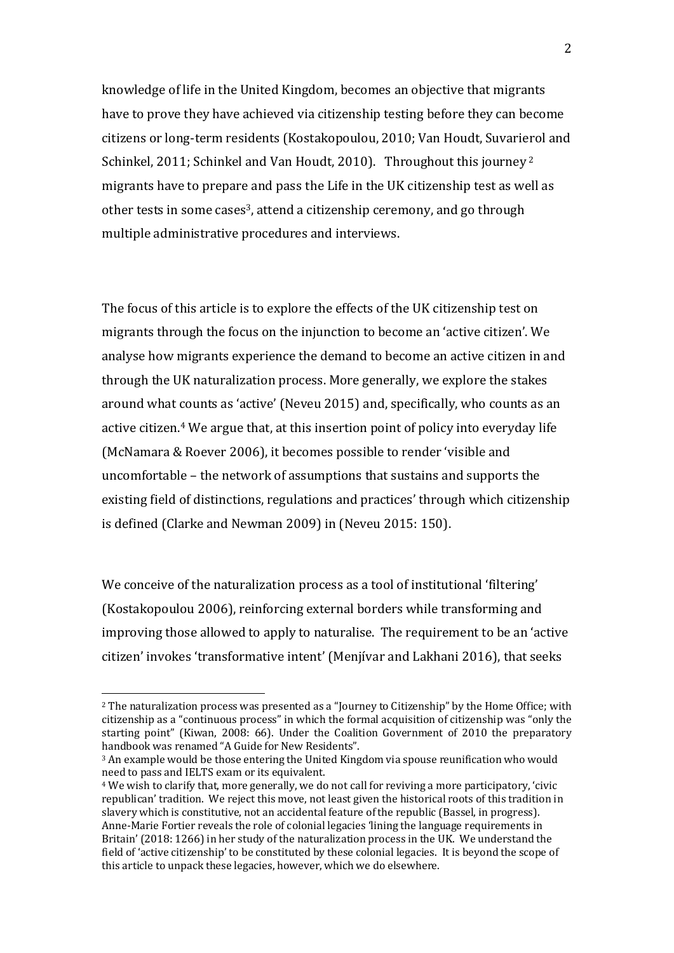knowledge of life in the United Kingdom, becomes an objective that migrants have to prove they have achieved via citizenship testing before they can become citizens or long-term residents (Kostakopoulou, 2010; Van Houdt, Suvarierol and Schinkel, 2011; Schinkel and Van Houdt, 2010). Throughout this journey <sup>2</sup> migrants have to prepare and pass the Life in the UK citizenship test as well as other tests in some cases<sup>3</sup>, attend a citizenship ceremony, and go through multiple administrative procedures and interviews.

The focus of this article is to explore the effects of the UK citizenship test on migrants through the focus on the injunction to become an 'active citizen'. We analyse how migrants experience the demand to become an active citizen in and through the UK naturalization process. More generally, we explore the stakes around what counts as 'active' (Neveu 2015) and, specifically, who counts as an active citizen. <sup>4</sup> We argue that, at this insertion point of policy into everyday life (McNamara & Roever 2006), it becomes possible to render 'visible and uncomfortable – the network of assumptions that sustains and supports the existing field of distinctions, regulations and practices' through which citizenship is defined (Clarke and Newman 2009) in (Neveu 2015: 150).

We conceive of the naturalization process as a tool of institutional 'filtering' (Kostakopoulou 2006), reinforcing external borders while transforming and improving those allowed to apply to naturalise. The requirement to be an 'active citizen' invokes 'transformative intent' (Menjívar and Lakhani 2016), that seeks

<sup>2</sup> The naturalization process was presented as a "Journey to Citizenship" by the Home Office; with citizenship as a "continuous process" in which the formal acquisition of citizenship was "only the starting point" (Kiwan, 2008: 66). Under the Coalition Government of 2010 the preparatory handbook was renamed "A Guide for New Residents".

<sup>3</sup> An example would be those entering the United Kingdom via spouse reunification who would need to pass and IELTS exam or its equivalent.

<sup>4</sup> We wish to clarify that, more generally, we do not call for reviving a more participatory, 'civic republican' tradition. We reject this move, not least given the historical roots of this tradition in slavery which is constitutive, not an accidental feature of the republic (Bassel, in progress). Anne-Marie Fortier reveals the role of colonial legacies 'lining the language requirements in Britain' (2018: 1266) in her study of the naturalization process in the UK. We understand the field of 'active citizenship' to be constituted by these colonial legacies. It is beyond the scope of this article to unpack these legacies, however, which we do elsewhere.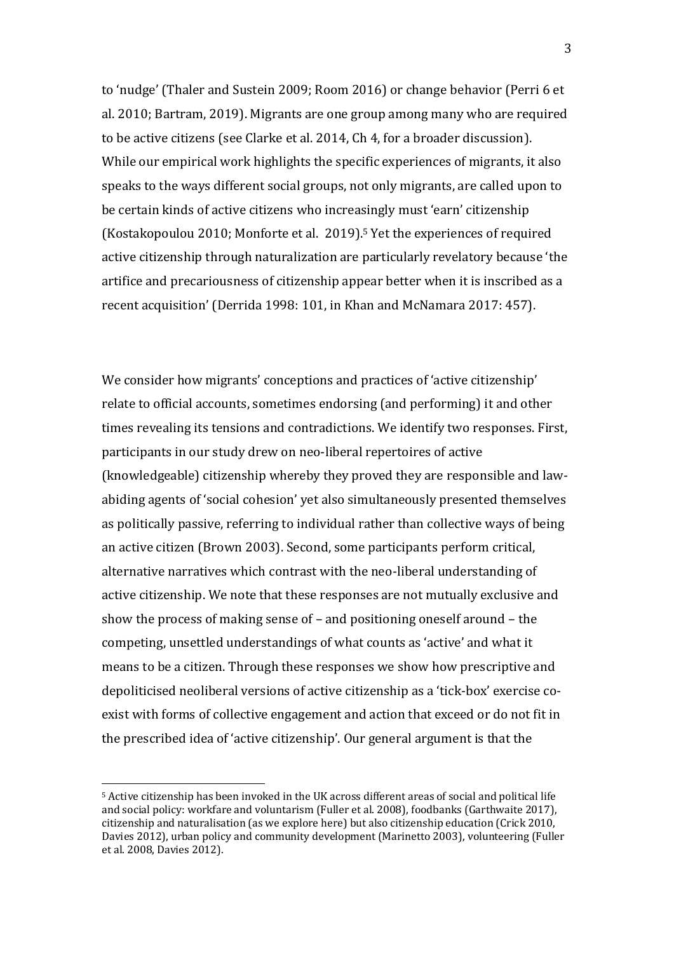to 'nudge' (Thaler and Sustein 2009; Room 2016) or change behavior (Perri 6 et al. 2010; Bartram, 2019). Migrants are one group among many who are required to be active citizens (see Clarke et al. 2014, Ch 4, for a broader discussion). While our empirical work highlights the specific experiences of migrants, it also speaks to the ways different social groups, not only migrants, are called upon to be certain kinds of active citizens who increasingly must 'earn' citizenship (Kostakopoulou 2010; Monforte et al. 2019). <sup>5</sup> Yet the experiences of required active citizenship through naturalization are particularly revelatory because 'the artifice and precariousness of citizenship appear better when it is inscribed as a recent acquisition' (Derrida 1998: 101, in Khan and McNamara 2017: 457).

We consider how migrants' conceptions and practices of 'active citizenship' relate to official accounts, sometimes endorsing (and performing) it and other times revealing its tensions and contradictions. We identify two responses. First, participants in our study drew on neo-liberal repertoires of active (knowledgeable) citizenship whereby they proved they are responsible and lawabiding agents of 'social cohesion' yet also simultaneously presented themselves as politically passive, referring to individual rather than collective ways of being an active citizen (Brown 2003). Second, some participants perform critical, alternative narratives which contrast with the neo-liberal understanding of active citizenship. We note that these responses are not mutually exclusive and show the process of making sense of – and positioning oneself around – the competing, unsettled understandings of what counts as 'active' and what it means to be a citizen. Through these responses we show how prescriptive and depoliticised neoliberal versions of active citizenship as a 'tick-box' exercise coexist with forms of collective engagement and action that exceed or do not fit in the prescribed idea of 'active citizenship'. Our general argument is that the

<sup>5</sup> Active citizenship has been invoked in the UK across different areas of social and political life and social policy: workfare and voluntarism (Fuller et al. 2008), foodbanks (Garthwaite 2017), citizenship and naturalisation (as we explore here) but also citizenship education (Crick 2010, Davies 2012), urban policy and community development (Marinetto 2003), volunteering (Fuller et al. 2008, Davies 2012).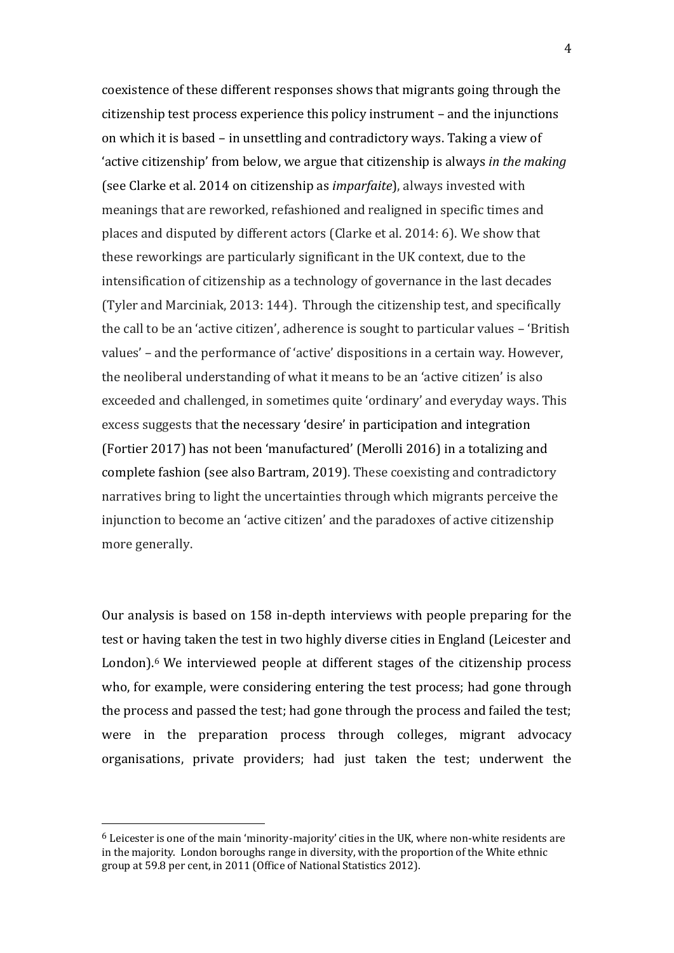coexistence of these different responses shows that migrants going through the citizenship test process experience this policy instrument – and the injunctions on which it is based – in unsettling and contradictory ways. Taking a view of 'active citizenship' from below, we argue that citizenship is always *in the making*  (see Clarke et al. 2014 on citizenship as *imparfaite*), always invested with meanings that are reworked, refashioned and realigned in specific times and places and disputed by different actors (Clarke et al. 2014: 6). We show that these reworkings are particularly significant in the UK context, due to the intensification of citizenship as a technology of governance in the last decades (Tyler and Marciniak, 2013: 144). Through the citizenship test, and specifically the call to be an 'active citizen', adherence is sought to particular values – 'British values' – and the performance of 'active' dispositions in a certain way. However, the neoliberal understanding of what it means to be an 'active citizen' is also exceeded and challenged, in sometimes quite 'ordinary' and everyday ways. This excess suggests that the necessary 'desire' in participation and integration (Fortier 2017) has not been 'manufactured' (Merolli 2016) in a totalizing and complete fashion (see also Bartram, 2019). These coexisting and contradictory narratives bring to light the uncertainties through which migrants perceive the injunction to become an 'active citizen' and the paradoxes of active citizenship more generally.

Our analysis is based on 158 in-depth interviews with people preparing for the test or having taken the test in two highly diverse cities in England (Leicester and London).<sup>6</sup> We interviewed people at different stages of the citizenship process who, for example, were considering entering the test process; had gone through the process and passed the test; had gone through the process and failed the test; were in the preparation process through colleges, migrant advocacy organisations, private providers; had just taken the test; underwent the

 $6$  Leicester is one of the main 'minority-majority' cities in the UK, where non-white residents are in the majority. London boroughs range in diversity, with the proportion of the White ethnic group at 59.8 per cent, in 2011 (Office of National Statistics 2012).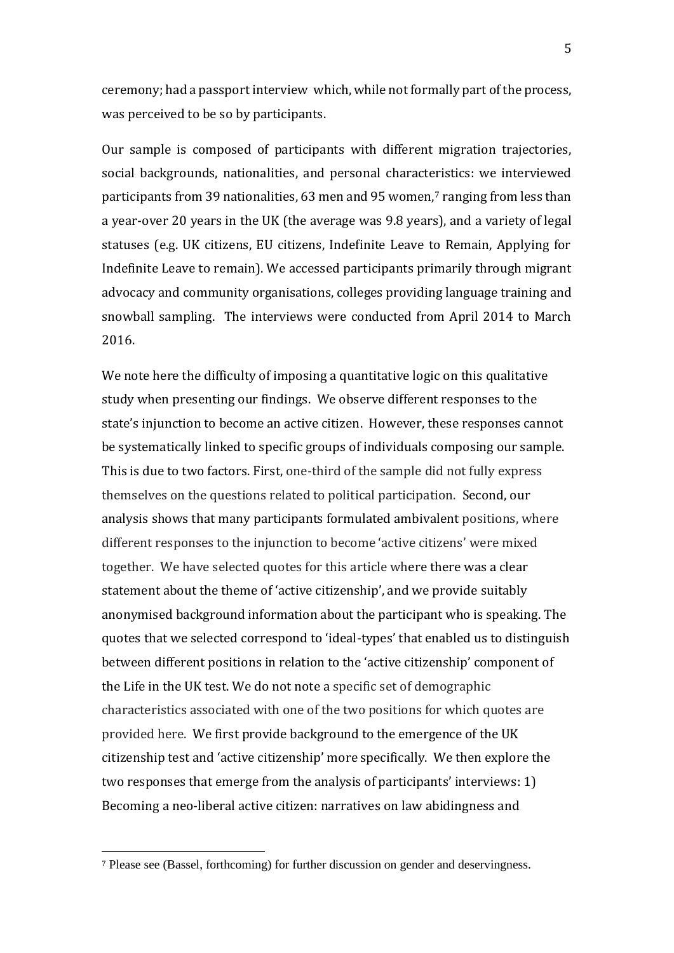ceremony; had a passport interview which, while not formally part of the process, was perceived to be so by participants.

Our sample is composed of participants with different migration trajectories, social backgrounds, nationalities, and personal characteristics: we interviewed participants from 39 nationalities, 63 men and 95 women, $\frac{7}{1}$  ranging from less than a year-over 20 years in the UK (the average was 9.8 years), and a variety of legal statuses (e.g. UK citizens, EU citizens, Indefinite Leave to Remain, Applying for Indefinite Leave to remain). We accessed participants primarily through migrant advocacy and community organisations, colleges providing language training and snowball sampling. The interviews were conducted from April 2014 to March 2016.

We note here the difficulty of imposing a quantitative logic on this qualitative study when presenting our findings. We observe different responses to the state's injunction to become an active citizen. However, these responses cannot be systematically linked to specific groups of individuals composing our sample. This is due to two factors. First, one-third of the sample did not fully express themselves on the questions related to political participation. Second, our analysis shows that many participants formulated ambivalent positions, where different responses to the injunction to become 'active citizens' were mixed together. We have selected quotes for this article where there was a clear statement about the theme of 'active citizenship', and we provide suitably anonymised background information about the participant who is speaking. The quotes that we selected correspond to 'ideal-types' that enabled us to distinguish between different positions in relation to the 'active citizenship' component of the Life in the UK test. We do not note a specific set of demographic characteristics associated with one of the two positions for which quotes are provided here. We first provide background to the emergence of the UK citizenship test and 'active citizenship' more specifically. We then explore the two responses that emerge from the analysis of participants' interviews: 1) Becoming a neo-liberal active citizen: narratives on law abidingness and

<sup>7</sup> Please see (Bassel, forthcoming) for further discussion on gender and deservingness.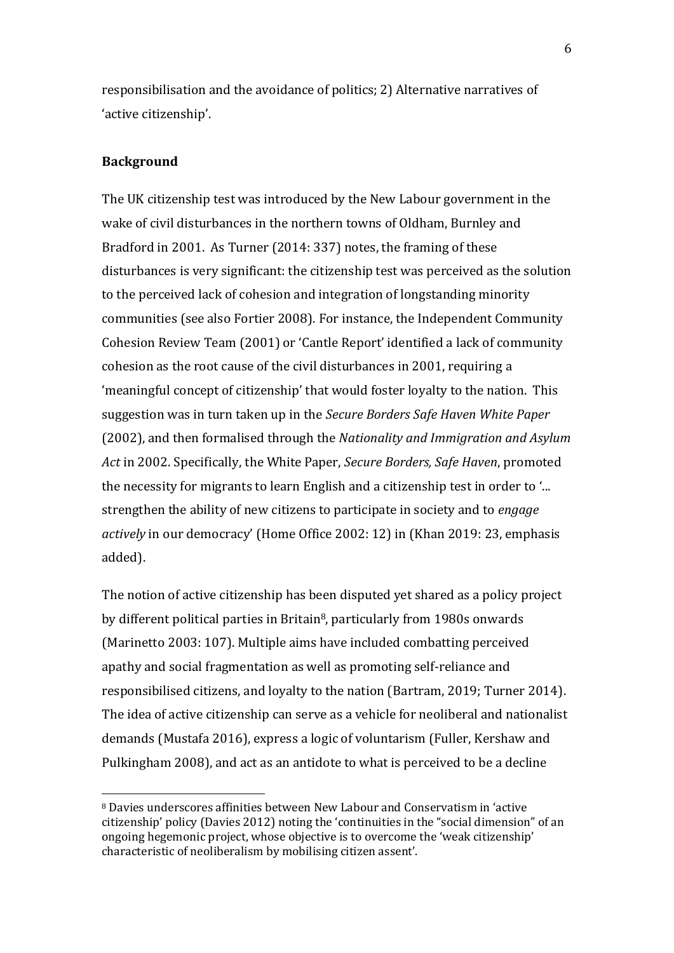responsibilisation and the avoidance of politics; 2) Alternative narratives of 'active citizenship'.

### **Background**

The UK citizenship test was introduced by the New Labour government in the wake of civil disturbances in the northern towns of Oldham, Burnley and Bradford in 2001. As Turner (2014: 337) notes, the framing of these disturbances is very significant: the citizenship test was perceived as the solution to the perceived lack of cohesion and integration of longstanding minority communities (see also Fortier 2008). For instance, the Independent Community Cohesion Review Team (2001) or 'Cantle Report' identified a lack of community cohesion as the root cause of the civil disturbances in 2001, requiring a 'meaningful concept of citizenship' that would foster loyalty to the nation. This suggestion was in turn taken up in the *Secure Borders Safe Haven White Paper*  (2002), and then formalised through the *Nationality and Immigration and Asylum Act* in 2002. Specifically, the White Paper, *Secure Borders, Safe Haven*, promoted the necessity for migrants to learn English and a citizenship test in order to '... strengthen the ability of new citizens to participate in society and to *engage actively* in our democracy' (Home Office 2002: 12) in (Khan 2019: 23, emphasis added).

The notion of active citizenship has been disputed yet shared as a policy project by different political parties in Britain<sup>8</sup>, particularly from 1980s onwards (Marinetto 2003: 107). Multiple aims have included combatting perceived apathy and social fragmentation as well as promoting self-reliance and responsibilised citizens, and loyalty to the nation (Bartram, 2019; Turner 2014). The idea of active citizenship can serve as a vehicle for neoliberal and nationalist demands (Mustafa 2016), express a logic of voluntarism (Fuller, Kershaw and Pulkingham 2008), and act as an antidote to what is perceived to be a decline

<sup>8</sup> Davies underscores affinities between New Labour and Conservatism in 'active citizenship' policy (Davies 2012) noting the 'continuities in the "social dimension" of an ongoing hegemonic project, whose objective is to overcome the 'weak citizenship' characteristic of neoliberalism by mobilising citizen assent'.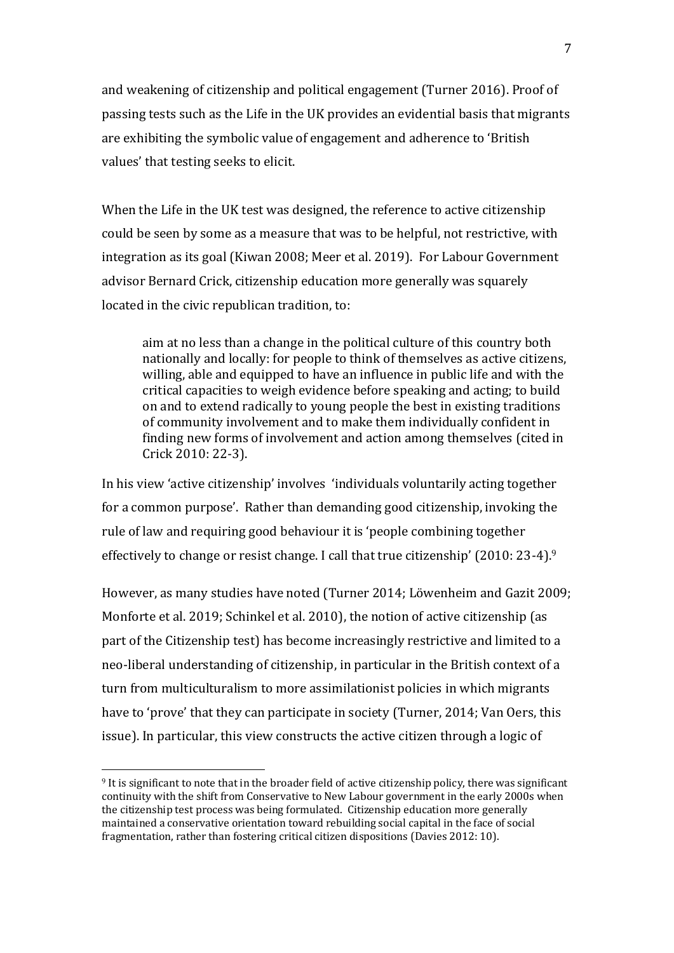and weakening of citizenship and political engagement (Turner 2016). Proof of passing tests such as the Life in the UK provides an evidential basis that migrants are exhibiting the symbolic value of engagement and adherence to 'British values' that testing seeks to elicit.

When the Life in the UK test was designed, the reference to active citizenship could be seen by some as a measure that was to be helpful, not restrictive, with integration as its goal (Kiwan 2008; Meer et al. 2019). For Labour Government advisor Bernard Crick, citizenship education more generally was squarely located in the civic republican tradition, to:

aim at no less than a change in the political culture of this country both nationally and locally: for people to think of themselves as active citizens, willing, able and equipped to have an influence in public life and with the critical capacities to weigh evidence before speaking and acting; to build on and to extend radically to young people the best in existing traditions of community involvement and to make them individually confident in finding new forms of involvement and action among themselves (cited in Crick 2010: 22-3).

In his view 'active citizenship' involves 'individuals voluntarily acting together for a common purpose'. Rather than demanding good citizenship, invoking the rule of law and requiring good behaviour it is 'people combining together effectively to change or resist change. I call that true citizenship' (2010: 23-4).<sup>9</sup>

However, as many studies have noted (Turner 2014; Löwenheim and Gazit 2009; Monforte et al. 2019; Schinkel et al. 2010), the notion of active citizenship (as part of the Citizenship test) has become increasingly restrictive and limited to a neo-liberal understanding of citizenship, in particular in the British context of a turn from multiculturalism to more assimilationist policies in which migrants have to 'prove' that they can participate in society (Turner, 2014; Van Oers, this issue). In particular, this view constructs the active citizen through a logic of

<sup>9</sup> It is significant to note that in the broader field of active citizenship policy, there was significant continuity with the shift from Conservative to New Labour government in the early 2000s when the citizenship test process was being formulated. Citizenship education more generally maintained a conservative orientation toward rebuilding social capital in the face of social fragmentation, rather than fostering critical citizen dispositions (Davies 2012: 10).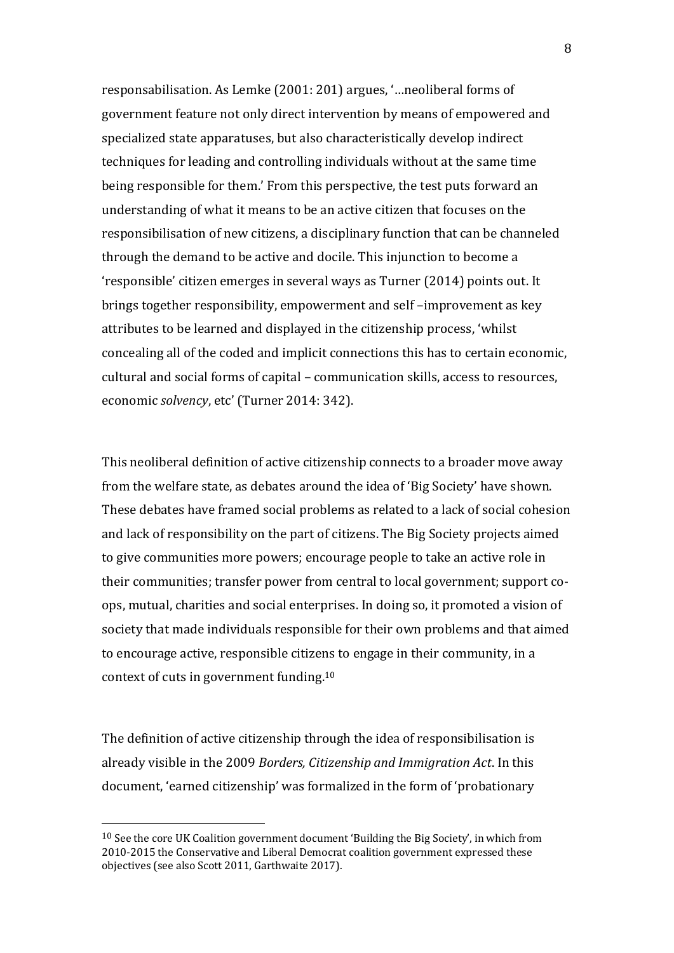responsabilisation. As Lemke (2001: 201) argues, '…neoliberal forms of government feature not only direct intervention by means of empowered and specialized state apparatuses, but also characteristically develop indirect techniques for leading and controlling individuals without at the same time being responsible for them.' From this perspective, the test puts forward an understanding of what it means to be an active citizen that focuses on the responsibilisation of new citizens, a disciplinary function that can be channeled through the demand to be active and docile. This injunction to become a 'responsible' citizen emerges in several ways as Turner (2014) points out. It brings together responsibility, empowerment and self –improvement as key attributes to be learned and displayed in the citizenship process, 'whilst concealing all of the coded and implicit connections this has to certain economic, cultural and social forms of capital – communication skills, access to resources, economic *solvency*, etc' (Turner 2014: 342).

This neoliberal definition of active citizenship connects to a broader move away from the welfare state, as debates around the idea of 'Big Society' have shown. These debates have framed social problems as related to a lack of social cohesion and lack of responsibility on the part of citizens. The Big Society projects aimed to give communities more powers; encourage people to take an active role in their communities; transfer power from central to local government; support coops, mutual, charities and social enterprises. In doing so, it promoted a vision of society that made individuals responsible for their own problems and that aimed to encourage active, responsible citizens to engage in their community, in a context of cuts in government funding. 10

The definition of active citizenship through the idea of responsibilisation is already visible in the 2009 *Borders, Citizenship and Immigration Act*. In this document, 'earned citizenship' was formalized in the form of 'probationary

<sup>10</sup> See the core UK Coalition government document 'Building the Big Society', in which from 2010-2015 the Conservative and Liberal Democrat coalition government expressed these objectives (see also Scott 2011, Garthwaite 2017).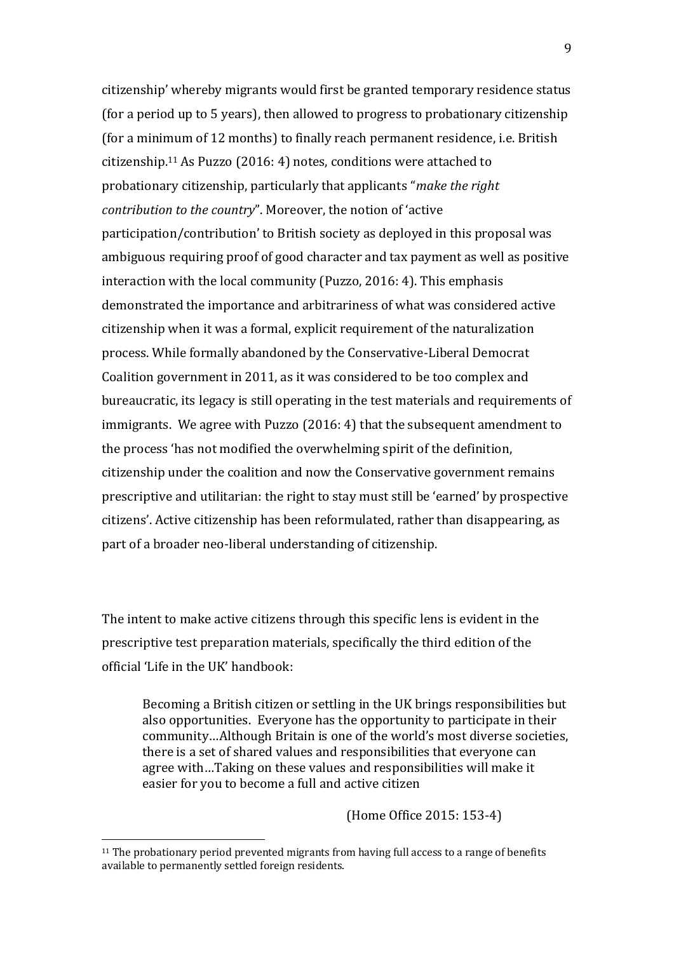citizenship' whereby migrants would first be granted temporary residence status (for a period up to 5 years), then allowed to progress to probationary citizenship (for a minimum of 12 months) to finally reach permanent residence, i.e. British citizenship.<sup>11</sup> As Puzzo (2016: 4) notes, conditions were attached to probationary citizenship, particularly that applicants "*make the right contribution to the country*". Moreover, the notion of 'active participation/contribution' to British society as deployed in this proposal was ambiguous requiring proof of good character and tax payment as well as positive interaction with the local community (Puzzo, 2016: 4). This emphasis demonstrated the importance and arbitrariness of what was considered active citizenship when it was a formal, explicit requirement of the naturalization process. While formally abandoned by the Conservative-Liberal Democrat Coalition government in 2011, as it was considered to be too complex and bureaucratic, its legacy is still operating in the test materials and requirements of immigrants. We agree with Puzzo (2016: 4) that the subsequent amendment to the process 'has not modified the overwhelming spirit of the definition, citizenship under the coalition and now the Conservative government remains prescriptive and utilitarian: the right to stay must still be 'earned' by prospective citizens'. Active citizenship has been reformulated, rather than disappearing, as part of a broader neo-liberal understanding of citizenship.

The intent to make active citizens through this specific lens is evident in the prescriptive test preparation materials, specifically the third edition of the official 'Life in the UK' handbook:

Becoming a British citizen or settling in the UK brings responsibilities but also opportunities. Everyone has the opportunity to participate in their community…Although Britain is one of the world's most diverse societies, there is a set of shared values and responsibilities that everyone can agree with…Taking on these values and responsibilities will make it easier for you to become a full and active citizen

(Home Office 2015: 153-4)

<sup>11</sup> The probationary period prevented migrants from having full access to a range of benefits available to permanently settled foreign residents.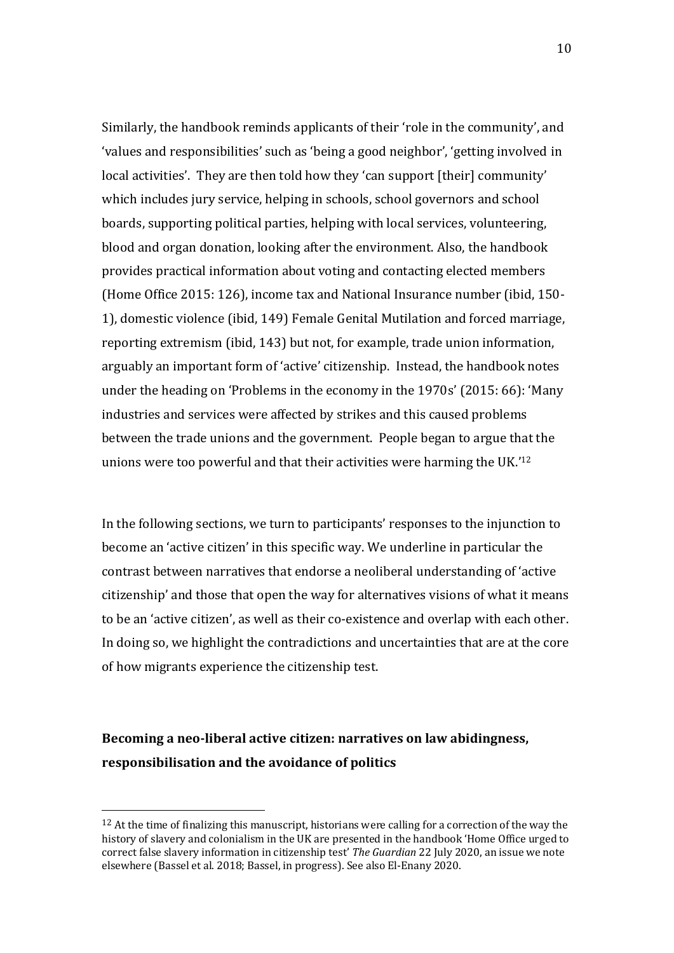Similarly, the handbook reminds applicants of their 'role in the community', and 'values and responsibilities' such as 'being a good neighbor', 'getting involved in local activities'. They are then told how they 'can support [their] community' which includes jury service, helping in schools, school governors and school boards, supporting political parties, helping with local services, volunteering, blood and organ donation, looking after the environment. Also, the handbook provides practical information about voting and contacting elected members (Home Office 2015: 126), income tax and National Insurance number (ibid, 150- 1), domestic violence (ibid, 149) Female Genital Mutilation and forced marriage, reporting extremism (ibid, 143) but not, for example, trade union information, arguably an important form of 'active' citizenship. Instead, the handbook notes under the heading on 'Problems in the economy in the 1970s' (2015: 66): 'Many industries and services were affected by strikes and this caused problems between the trade unions and the government. People began to argue that the unions were too powerful and that their activities were harming the UK.' 12

In the following sections, we turn to participants' responses to the injunction to become an 'active citizen' in this specific way. We underline in particular the contrast between narratives that endorse a neoliberal understanding of 'active citizenship' and those that open the way for alternatives visions of what it means to be an 'active citizen', as well as their co-existence and overlap with each other. In doing so, we highlight the contradictions and uncertainties that are at the core of how migrants experience the citizenship test.

# **Becoming a neo-liberal active citizen: narratives on law abidingness, responsibilisation and the avoidance of politics**

 $12$  At the time of finalizing this manuscript, historians were calling for a correction of the way the history of slavery and colonialism in the UK are presented in the handbook 'Home Office urged to correct false slavery information in citizenship test' *The Guardian* 22 July 2020, an issue we note elsewhere (Bassel et al. 2018; Bassel, in progress). See also El-Enany 2020.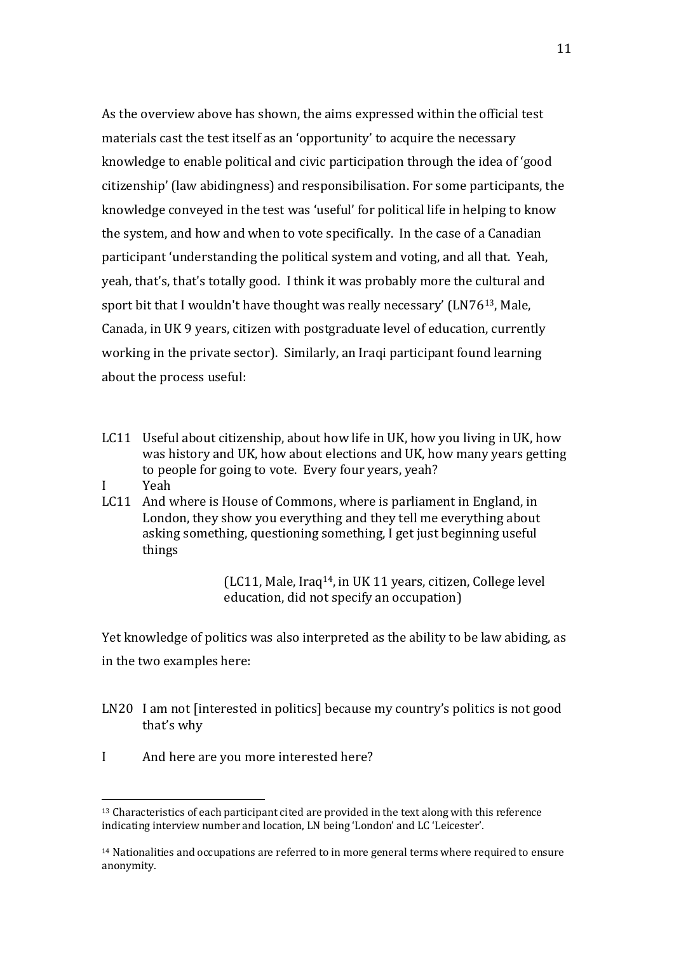As the overview above has shown, the aims expressed within the official test materials cast the test itself as an 'opportunity' to acquire the necessary knowledge to enable political and civic participation through the idea of 'good citizenship' (law abidingness) and responsibilisation. For some participants, the knowledge conveyed in the test was 'useful' for political life in helping to know the system, and how and when to vote specifically. In the case of a Canadian participant 'understanding the political system and voting, and all that. Yeah, yeah, that's, that's totally good. I think it was probably more the cultural and sport bit that I wouldn't have thought was really necessary' (LN7613, Male, Canada, in UK 9 years, citizen with postgraduate level of education, currently working in the private sector). Similarly, an Iraqi participant found learning about the process useful:

- LC11 Useful about citizenship, about how life in UK, how you living in UK, how was history and UK, how about elections and UK, how many years getting to people for going to vote. Every four years, yeah?
- I Yeah
- LC11 And where is House of Commons, where is parliament in England, in London, they show you everything and they tell me everything about asking something, questioning something, I get just beginning useful things

(LC11, Male, Iraq14, in UK 11 years, citizen, College level education, did not specify an occupation)

Yet knowledge of politics was also interpreted as the ability to be law abiding, as in the two examples here:

- LN20 I am not [interested in politics] because my country's politics is not good that's why
- I And here are you more interested here?

<sup>13</sup> Characteristics of each participant cited are provided in the text along with this reference indicating interview number and location, LN being 'London' and LC 'Leicester'.

<sup>&</sup>lt;sup>14</sup> Nationalities and occupations are referred to in more general terms where required to ensure anonymity.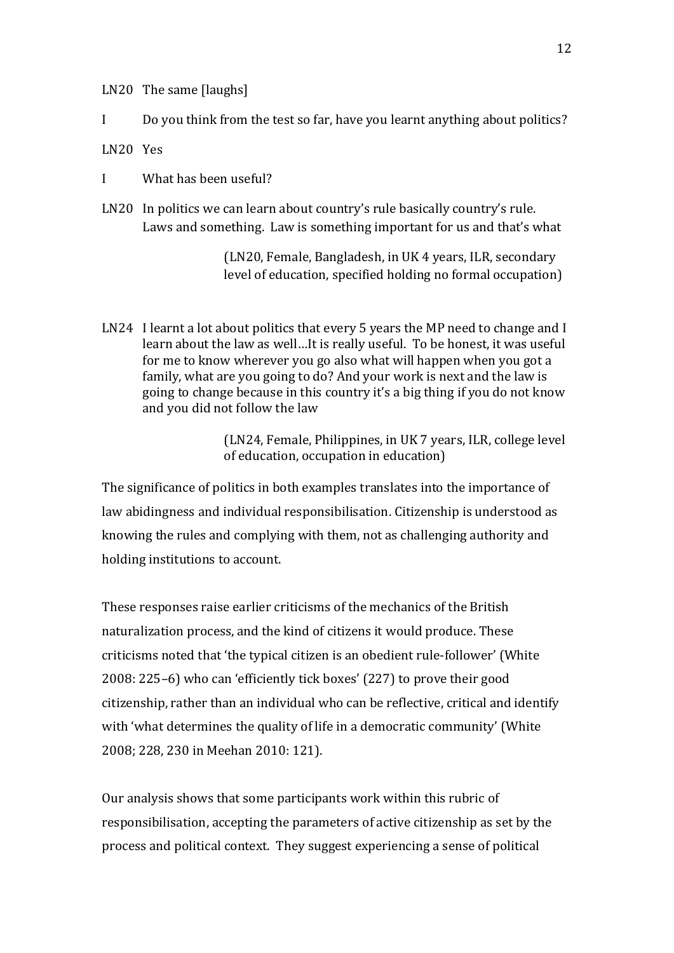LN20 The same [laughs]

I Do you think from the test so far, have you learnt anything about politics?

LN20 Yes

I What has been useful?

LN20 In politics we can learn about country's rule basically country's rule. Laws and something. Law is something important for us and that's what

> (LN20, Female, Bangladesh, in UK 4 years, ILR, secondary level of education, specified holding no formal occupation)

LN24 I learnt a lot about politics that every 5 years the MP need to change and I learn about the law as well…It is really useful. To be honest, it was useful for me to know wherever you go also what will happen when you got a family, what are you going to do? And your work is next and the law is going to change because in this country it's a big thing if you do not know and you did not follow the law

> (LN24, Female, Philippines, in UK 7 years, ILR, college level of education, occupation in education)

The significance of politics in both examples translates into the importance of law abidingness and individual responsibilisation. Citizenship is understood as knowing the rules and complying with them, not as challenging authority and holding institutions to account.

These responses raise earlier criticisms of the mechanics of the British naturalization process, and the kind of citizens it would produce. These criticisms noted that 'the typical citizen is an obedient rule-follower' (White 2008: 225–6) who can 'efficiently tick boxes' (227) to prove their good citizenship, rather than an individual who can be reflective, critical and identify with 'what determines the quality of life in a democratic community' (White 2008; 228, 230 in Meehan 2010: 121).

Our analysis shows that some participants work within this rubric of responsibilisation, accepting the parameters of active citizenship as set by the process and political context. They suggest experiencing a sense of political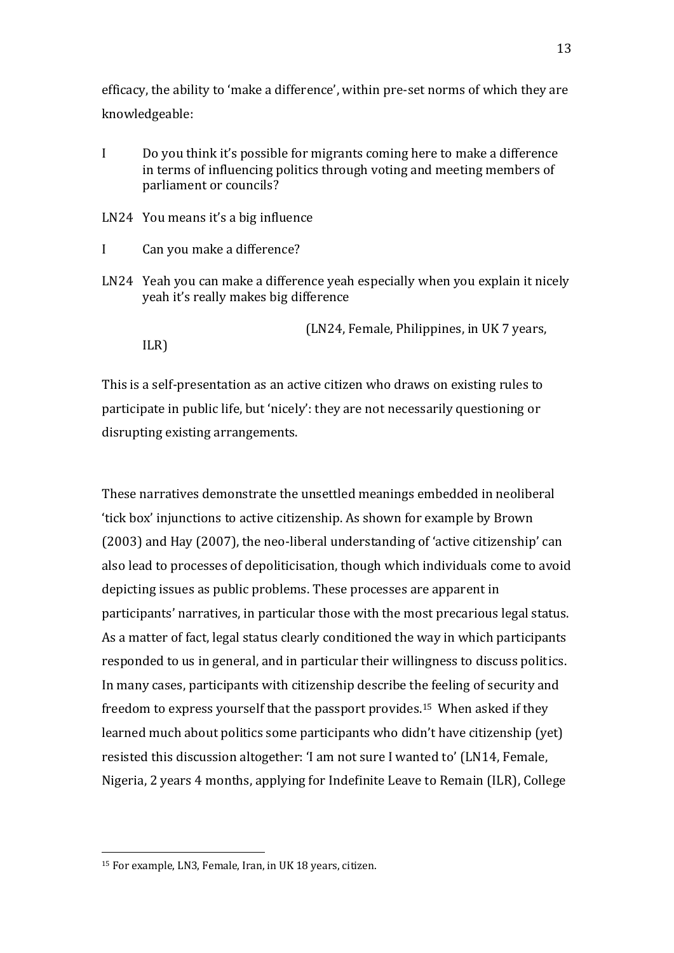efficacy, the ability to 'make a difference', within pre-set norms of which they are knowledgeable:

I Do you think it's possible for migrants coming here to make a difference in terms of influencing politics through voting and meeting members of parliament or councils?

LN24 You means it's a big influence

- I Can you make a difference?
- LN24 Yeah you can make a difference yeah especially when you explain it nicely yeah it's really makes big difference

(LN24, Female, Philippines, in UK 7 years,

ILR)

This is a self-presentation as an active citizen who draws on existing rules to participate in public life, but 'nicely': they are not necessarily questioning or disrupting existing arrangements.

These narratives demonstrate the unsettled meanings embedded in neoliberal 'tick box' injunctions to active citizenship. As shown for example by Brown (2003) and Hay (2007), the neo-liberal understanding of 'active citizenship' can also lead to processes of depoliticisation, though which individuals come to avoid depicting issues as public problems. These processes are apparent in participants' narratives, in particular those with the most precarious legal status. As a matter of fact, legal status clearly conditioned the way in which participants responded to us in general, and in particular their willingness to discuss politics. In many cases, participants with citizenship describe the feeling of security and freedom to express yourself that the passport provides.15 When asked if they learned much about politics some participants who didn't have citizenship (yet) resisted this discussion altogether: 'I am not sure I wanted to' (LN14, Female, Nigeria, 2 years 4 months, applying for Indefinite Leave to Remain (ILR), College

<sup>15</sup> For example, LN3, Female, Iran, in UK 18 years, citizen.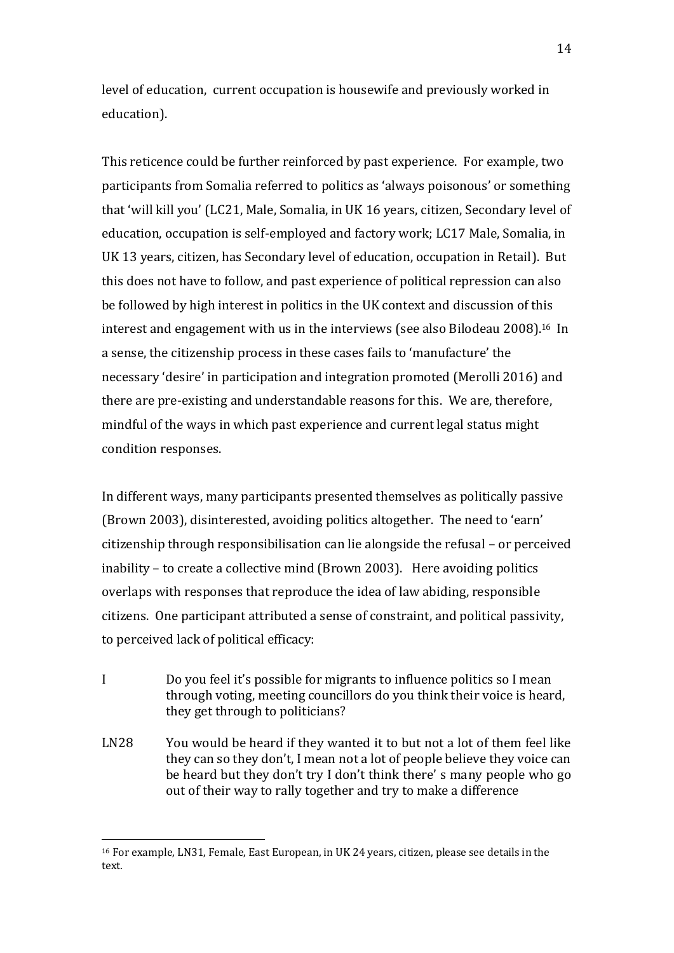level of education, current occupation is housewife and previously worked in education).

This reticence could be further reinforced by past experience. For example, two participants from Somalia referred to politics as 'always poisonous' or something that 'will kill you' (LC21, Male, Somalia, in UK 16 years, citizen, Secondary level of education, occupation is self-employed and factory work; LC17 Male, Somalia, in UK 13 years, citizen, has Secondary level of education, occupation in Retail). But this does not have to follow, and past experience of political repression can also be followed by high interest in politics in the UK context and discussion of this interest and engagement with us in the interviews (see also Bilodeau 2008).16 In a sense, the citizenship process in these cases fails to 'manufacture' the necessary 'desire' in participation and integration promoted (Merolli 2016) and there are pre-existing and understandable reasons for this. We are, therefore, mindful of the ways in which past experience and current legal status might condition responses.

In different ways, many participants presented themselves as politically passive (Brown 2003), disinterested, avoiding politics altogether. The need to 'earn' citizenship through responsibilisation can lie alongside the refusal – or perceived inability – to create a collective mind (Brown 2003). Here avoiding politics overlaps with responses that reproduce the idea of law abiding, responsible citizens. One participant attributed a sense of constraint, and political passivity, to perceived lack of political efficacy:

- I Do you feel it's possible for migrants to influence politics so I mean through voting, meeting councillors do you think their voice is heard, they get through to politicians?
- LN28 You would be heard if they wanted it to but not a lot of them feel like they can so they don't, I mean not a lot of people believe they voice can be heard but they don't try I don't think there' s many people who go out of their way to rally together and try to make a difference

<sup>16</sup> For example, LN31, Female, East European, in UK 24 years, citizen, please see details in the text.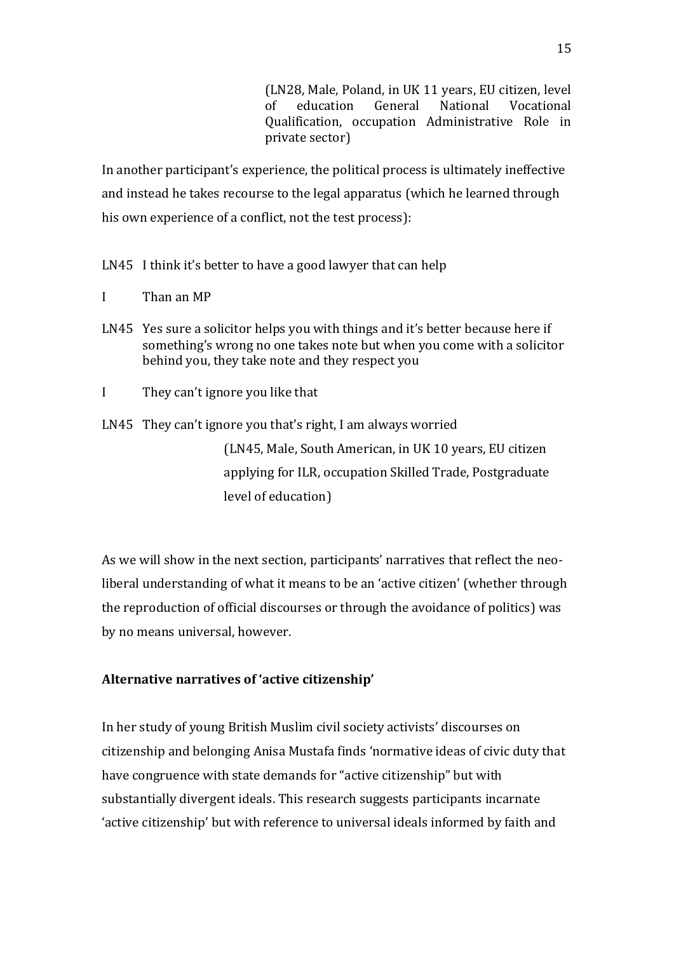(LN28, Male, Poland, in UK 11 years, EU citizen, level of education General National Vocational Qualification, occupation Administrative Role in private sector)

In another participant's experience, the political process is ultimately ineffective and instead he takes recourse to the legal apparatus (which he learned through his own experience of a conflict, not the test process):

LN45 I think it's better to have a good lawyer that can help

- I Than an MP
- LN45 Yes sure a solicitor helps you with things and it's better because here if something's wrong no one takes note but when you come with a solicitor behind you, they take note and they respect you
- I They can't ignore you like that
- LN45 They can't ignore you that's right, I am always worried

(LN45, Male, South American, in UK 10 years, EU citizen applying for ILR, occupation Skilled Trade, Postgraduate level of education)

As we will show in the next section, participants' narratives that reflect the neoliberal understanding of what it means to be an 'active citizen' (whether through the reproduction of official discourses or through the avoidance of politics) was by no means universal, however.

## **Alternative narratives of 'active citizenship'**

In her study of young British Muslim civil society activists' discourses on citizenship and belonging Anisa Mustafa finds 'normative ideas of civic duty that have congruence with state demands for "active citizenship" but with substantially divergent ideals. This research suggests participants incarnate 'active citizenship' but with reference to universal ideals informed by faith and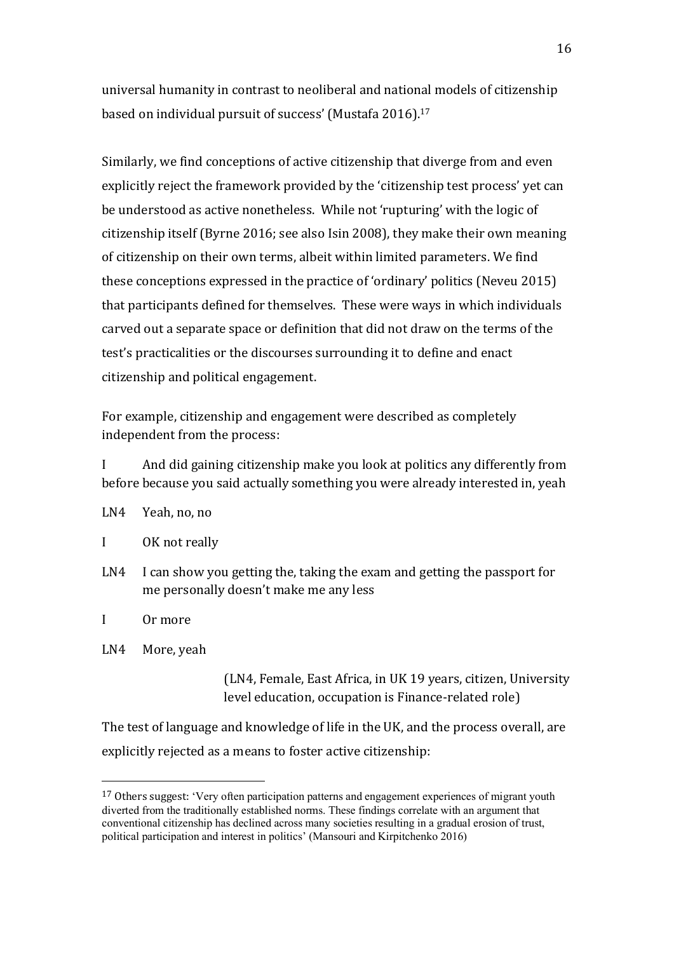universal humanity in contrast to neoliberal and national models of citizenship based on individual pursuit of success' (Mustafa 2016).<sup>17</sup>

Similarly, we find conceptions of active citizenship that diverge from and even explicitly reject the framework provided by the 'citizenship test process' yet can be understood as active nonetheless. While not 'rupturing' with the logic of citizenship itself (Byrne 2016; see also Isin 2008), they make their own meaning of citizenship on their own terms, albeit within limited parameters. We find these conceptions expressed in the practice of 'ordinary' politics (Neveu 2015) that participants defined for themselves. These were ways in which individuals carved out a separate space or definition that did not draw on the terms of the test's practicalities or the discourses surrounding it to define and enact citizenship and political engagement.

For example, citizenship and engagement were described as completely independent from the process:

I And did gaining citizenship make you look at politics any differently from before because you said actually something you were already interested in, yeah

- LN4 Yeah, no, no
- I OK not really
- LN4 I can show you getting the, taking the exam and getting the passport for me personally doesn't make me any less

I Or more

LN4 More, yeah

(LN4, Female, East Africa, in UK 19 years, citizen, University level education, occupation is Finance-related role)

The test of language and knowledge of life in the UK, and the process overall, are explicitly rejected as a means to foster active citizenship:

<sup>&</sup>lt;sup>17</sup> Others suggest: 'Very often participation patterns and engagement experiences of migrant youth diverted from the traditionally established norms. These findings correlate with an argument that conventional citizenship has declined across many societies resulting in a gradual erosion of trust, political participation and interest in politics' (Mansouri and Kirpitchenko 2016)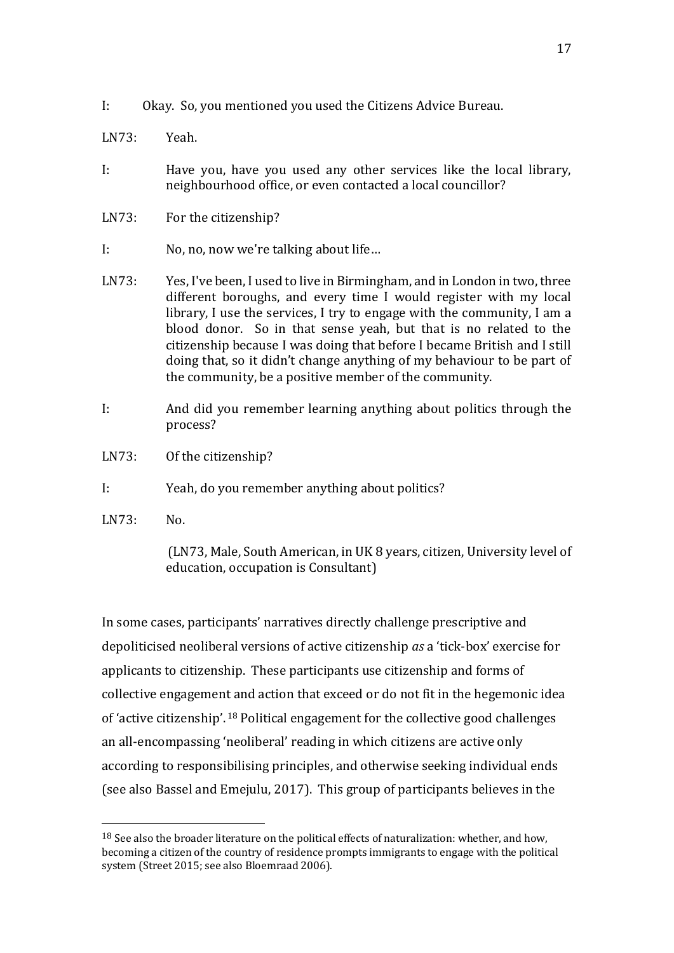- I: Okay. So, you mentioned you used the Citizens Advice Bureau.
- LN73: Yeah.
- I: Have you, have you used any other services like the local library, neighbourhood office, or even contacted a local councillor?
- LN73: For the citizenship?
- I: No, no, now we're talking about life…
- LN73: Yes, I've been, I used to live in Birmingham, and in London in two, three different boroughs, and every time I would register with my local library, I use the services, I try to engage with the community, I am a blood donor. So in that sense yeah, but that is no related to the citizenship because I was doing that before I became British and I still doing that, so it didn't change anything of my behaviour to be part of the community, be a positive member of the community.
- I: And did you remember learning anything about politics through the process?
- LN73: Of the citizenship?
- I: Yeah, do you remember anything about politics?
- LN73: No.

(LN73, Male, South American, in UK 8 years, citizen, University level of education, occupation is Consultant)

In some cases, participants' narratives directly challenge prescriptive and depoliticised neoliberal versions of active citizenship *as* a 'tick-box' exercise for applicants to citizenship. These participants use citizenship and forms of collective engagement and action that exceed or do not fit in the hegemonic idea of 'active citizenship'. <sup>18</sup> Political engagement for the collective good challenges an all-encompassing 'neoliberal' reading in which citizens are active only according to responsibilising principles, and otherwise seeking individual ends (see also Bassel and Emejulu, 2017). This group of participants believes in the

<sup>&</sup>lt;sup>18</sup> See also the broader literature on the political effects of naturalization: whether, and how, becoming a citizen of the country of residence prompts immigrants to engage with the political system (Street 2015; see also Bloemraad 2006).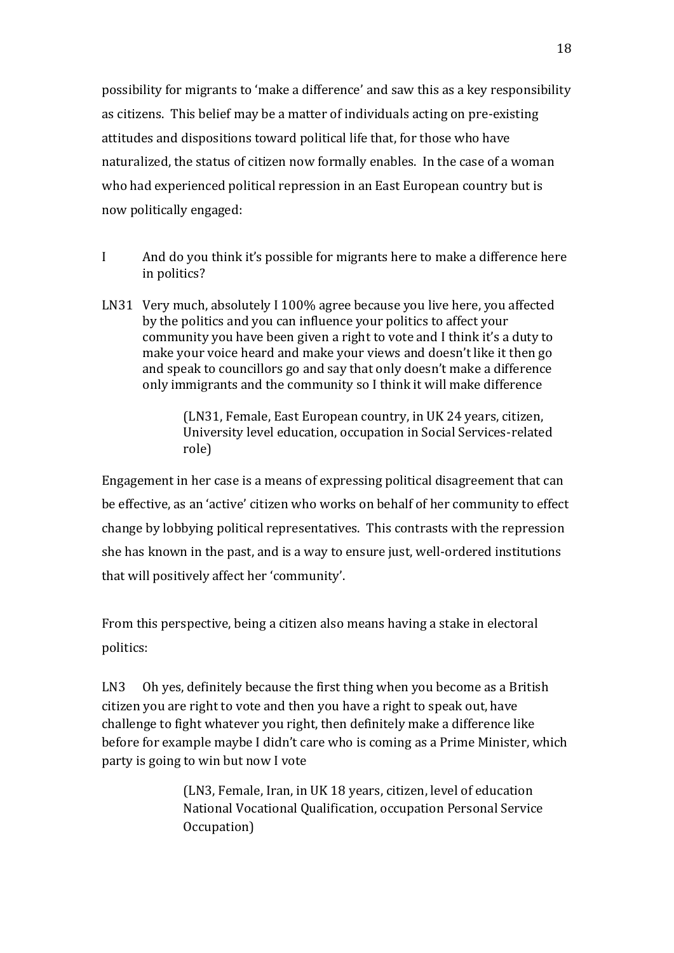possibility for migrants to 'make a difference' and saw this as a key responsibility as citizens. This belief may be a matter of individuals acting on pre-existing attitudes and dispositions toward political life that, for those who have naturalized, the status of citizen now formally enables. In the case of a woman who had experienced political repression in an East European country but is now politically engaged:

- I And do you think it's possible for migrants here to make a difference here in politics?
- LN31 Very much, absolutely I 100% agree because you live here, you affected by the politics and you can influence your politics to affect your community you have been given a right to vote and I think it's a duty to make your voice heard and make your views and doesn't like it then go and speak to councillors go and say that only doesn't make a difference only immigrants and the community so I think it will make difference

(LN31, Female, East European country, in UK 24 years, citizen, University level education, occupation in Social Services-related role)

Engagement in her case is a means of expressing political disagreement that can be effective, as an 'active' citizen who works on behalf of her community to effect change by lobbying political representatives. This contrasts with the repression she has known in the past, and is a way to ensure just, well-ordered institutions that will positively affect her 'community'.

From this perspective, being a citizen also means having a stake in electoral politics:

LN3 Oh yes, definitely because the first thing when you become as a British citizen you are right to vote and then you have a right to speak out, have challenge to fight whatever you right, then definitely make a difference like before for example maybe I didn't care who is coming as a Prime Minister, which party is going to win but now I vote

> (LN3, Female, Iran, in UK 18 years, citizen, level of education National Vocational Qualification, occupation Personal Service Occupation)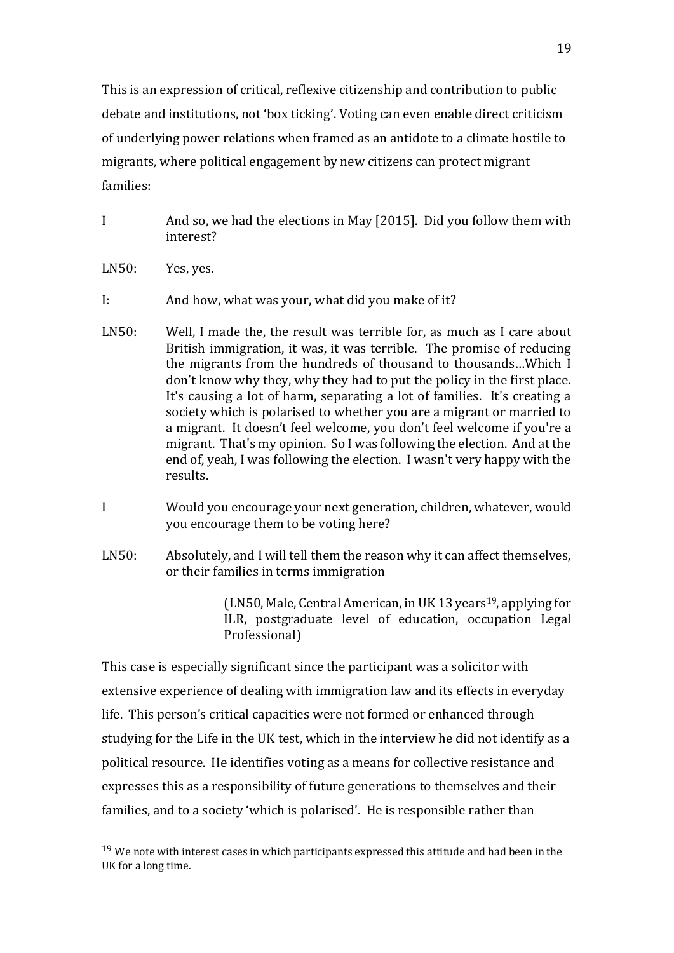This is an expression of critical, reflexive citizenship and contribution to public debate and institutions, not 'box ticking'. Voting can even enable direct criticism of underlying power relations when framed as an antidote to a climate hostile to migrants, where political engagement by new citizens can protect migrant families:

- I And so, we had the elections in May [2015]. Did you follow them with interest?
- LN50: Yes, yes.

I: And how, what was your, what did you make of it?

- LN50: Well, I made the, the result was terrible for, as much as I care about British immigration, it was, it was terrible. The promise of reducing the migrants from the hundreds of thousand to thousands…Which I don't know why they, why they had to put the policy in the first place. It's causing a lot of harm, separating a lot of families. It's creating a society which is polarised to whether you are a migrant or married to a migrant. It doesn't feel welcome, you don't feel welcome if you're a migrant. That's my opinion. So I was following the election. And at the end of, yeah, I was following the election. I wasn't very happy with the results.
- I Would you encourage your next generation, children, whatever, would you encourage them to be voting here?
- LN50: Absolutely, and I will tell them the reason why it can affect themselves, or their families in terms immigration

 $(LN50, Male, Central American, in UK 13 years<sup>19</sup>, applying for$ ILR, postgraduate level of education, occupation Legal Professional)

This case is especially significant since the participant was a solicitor with extensive experience of dealing with immigration law and its effects in everyday life. This person's critical capacities were not formed or enhanced through studying for the Life in the UK test, which in the interview he did not identify as a political resource. He identifies voting as a means for collective resistance and expresses this as a responsibility of future generations to themselves and their families, and to a society 'which is polarised'. He is responsible rather than

<sup>&</sup>lt;sup>19</sup> We note with interest cases in which participants expressed this attitude and had been in the UK for a long time.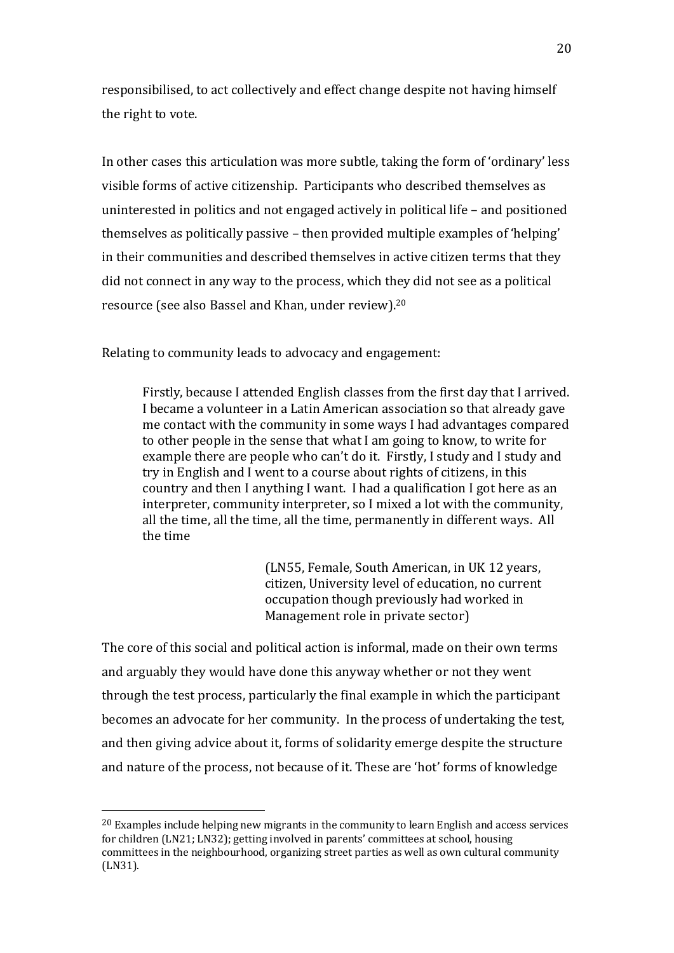responsibilised, to act collectively and effect change despite not having himself the right to vote.

In other cases this articulation was more subtle, taking the form of 'ordinary' less visible forms of active citizenship. Participants who described themselves as uninterested in politics and not engaged actively in political life – and positioned themselves as politically passive – then provided multiple examples of 'helping' in their communities and described themselves in active citizen terms that they did not connect in any way to the process, which they did not see as a political resource (see also Bassel and Khan, under review). 20

Relating to community leads to advocacy and engagement:

Firstly, because I attended English classes from the first day that I arrived. I became a volunteer in a Latin American association so that already gave me contact with the community in some ways I had advantages compared to other people in the sense that what I am going to know, to write for example there are people who can't do it. Firstly, I study and I study and try in English and I went to a course about rights of citizens, in this country and then I anything I want. I had a qualification I got here as an interpreter, community interpreter, so I mixed a lot with the community, all the time, all the time, all the time, permanently in different ways. All the time

> (LN55, Female, South American, in UK 12 years, citizen, University level of education, no current occupation though previously had worked in Management role in private sector)

The core of this social and political action is informal, made on their own terms and arguably they would have done this anyway whether or not they went through the test process, particularly the final example in which the participant becomes an advocate for her community. In the process of undertaking the test, and then giving advice about it, forms of solidarity emerge despite the structure and nature of the process, not because of it. These are 'hot' forms of knowledge

 $20$  Examples include helping new migrants in the community to learn English and access services for children (LN21; LN32); getting involved in parents' committees at school, housing committees in the neighbourhood, organizing street parties as well as own cultural community (LN31).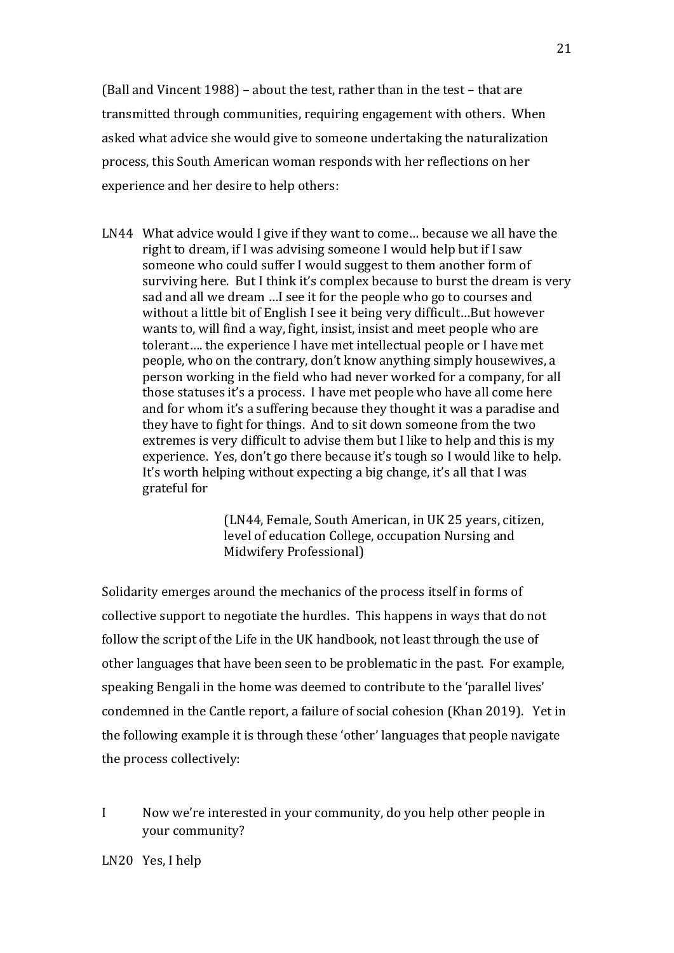(Ball and Vincent 1988) – about the test, rather than in the test – that are transmitted through communities, requiring engagement with others. When asked what advice she would give to someone undertaking the naturalization process, this South American woman responds with her reflections on her experience and her desire to help others:

LN44 What advice would I give if they want to come… because we all have the right to dream, if I was advising someone I would help but if I saw someone who could suffer I would suggest to them another form of surviving here. But I think it's complex because to burst the dream is very sad and all we dream …I see it for the people who go to courses and without a little bit of English I see it being very difficult…But however wants to, will find a way, fight, insist, insist and meet people who are tolerant…. the experience I have met intellectual people or I have met people, who on the contrary, don't know anything simply housewives, a person working in the field who had never worked for a company, for all those statuses it's a process. I have met people who have all come here and for whom it's a suffering because they thought it was a paradise and they have to fight for things. And to sit down someone from the two extremes is very difficult to advise them but I like to help and this is my experience. Yes, don't go there because it's tough so I would like to help. It's worth helping without expecting a big change, it's all that I was grateful for

> (LN44, Female, South American, in UK 25 years, citizen, level of education College, occupation Nursing and Midwifery Professional)

Solidarity emerges around the mechanics of the process itself in forms of collective support to negotiate the hurdles. This happens in ways that do not follow the script of the Life in the UK handbook, not least through the use of other languages that have been seen to be problematic in the past. For example, speaking Bengali in the home was deemed to contribute to the 'parallel lives' condemned in the Cantle report, a failure of social cohesion (Khan 2019). Yet in the following example it is through these 'other' languages that people navigate the process collectively:

I Now we're interested in your community, do you help other people in your community?

LN20 Yes, I help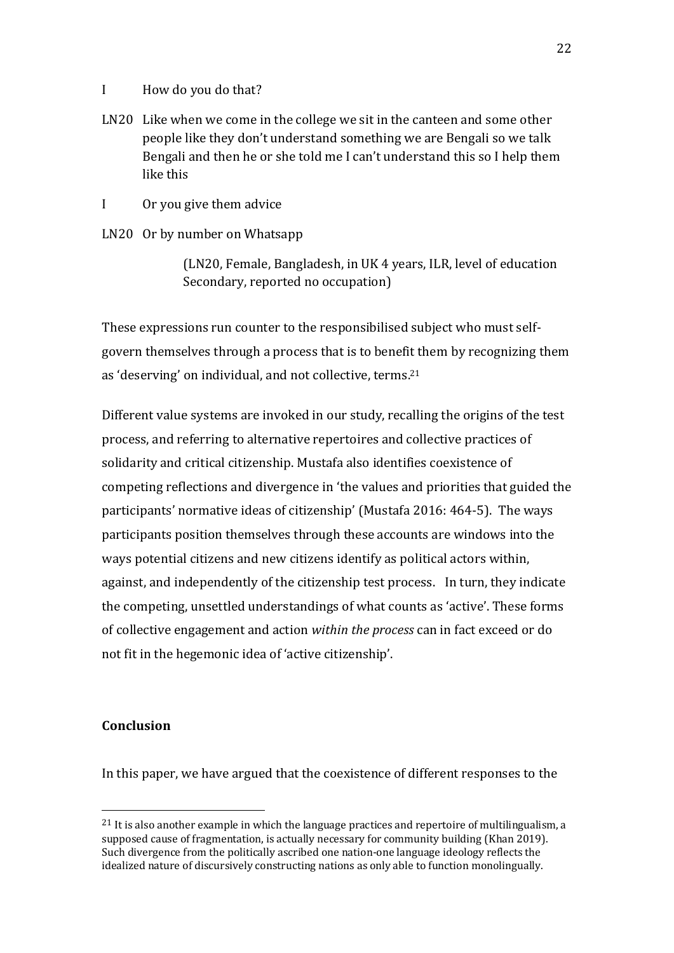- I How do you do that?
- LN20 Like when we come in the college we sit in the canteen and some other people like they don't understand something we are Bengali so we talk Bengali and then he or she told me I can't understand this so I help them like this
- I Or you give them advice
- LN20 Or by number on Whatsapp

(LN20, Female, Bangladesh, in UK 4 years, ILR, level of education Secondary, reported no occupation)

These expressions run counter to the responsibilised subject who must selfgovern themselves through a process that is to benefit them by recognizing them as 'deserving' on individual, and not collective, terms.<sup>21</sup>

Different value systems are invoked in our study, recalling the origins of the test process, and referring to alternative repertoires and collective practices of solidarity and critical citizenship. Mustafa also identifies coexistence of competing reflections and divergence in 'the values and priorities that guided the participants' normative ideas of citizenship' (Mustafa 2016: 464-5). The ways participants position themselves through these accounts are windows into the ways potential citizens and new citizens identify as political actors within, against, and independently of the citizenship test process. In turn, they indicate the competing, unsettled understandings of what counts as 'active'. These forms of collective engagement and action *within the process* can in fact exceed or do not fit in the hegemonic idea of 'active citizenship'.

## **Conclusion**

In this paper, we have argued that the coexistence of different responses to the

 $^{21}$  It is also another example in which the language practices and repertoire of multilingualism, a supposed cause of fragmentation, is actually necessary for community building (Khan 2019). Such divergence from the politically ascribed one nation-one language ideology reflects the idealized nature of discursively constructing nations as only able to function monolingually.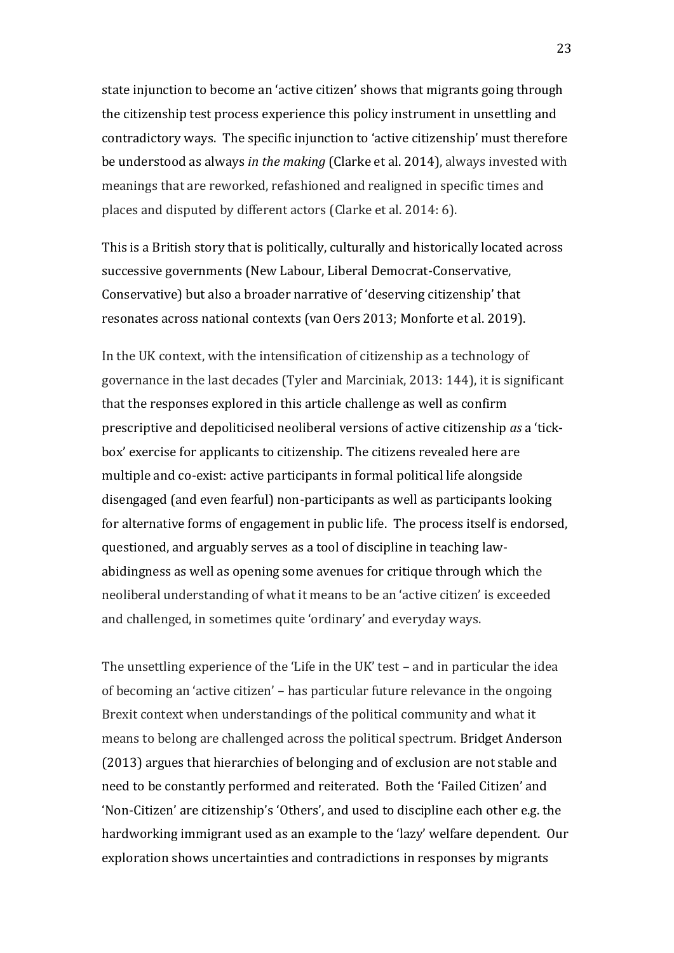state injunction to become an 'active citizen' shows that migrants going through the citizenship test process experience this policy instrument in unsettling and contradictory ways. The specific injunction to 'active citizenship' must therefore be understood as always *in the making* (Clarke et al. 2014), always invested with meanings that are reworked, refashioned and realigned in specific times and places and disputed by different actors (Clarke et al. 2014: 6).

This is a British story that is politically, culturally and historically located across successive governments (New Labour, Liberal Democrat-Conservative, Conservative) but also a broader narrative of 'deserving citizenship' that resonates across national contexts (van Oers 2013; Monforte et al. 2019).

In the UK context, with the intensification of citizenship as a technology of governance in the last decades (Tyler and Marciniak, 2013: 144), it is significant that the responses explored in this article challenge as well as confirm prescriptive and depoliticised neoliberal versions of active citizenship *as* a 'tickbox' exercise for applicants to citizenship. The citizens revealed here are multiple and co-exist: active participants in formal political life alongside disengaged (and even fearful) non-participants as well as participants looking for alternative forms of engagement in public life. The process itself is endorsed, questioned, and arguably serves as a tool of discipline in teaching lawabidingness as well as opening some avenues for critique through which the neoliberal understanding of what it means to be an 'active citizen' is exceeded and challenged, in sometimes quite 'ordinary' and everyday ways.

The unsettling experience of the 'Life in the UK' test – and in particular the idea of becoming an 'active citizen' – has particular future relevance in the ongoing Brexit context when understandings of the political community and what it means to belong are challenged across the political spectrum. Bridget Anderson (2013) argues that hierarchies of belonging and of exclusion are not stable and need to be constantly performed and reiterated. Both the 'Failed Citizen' and 'Non-Citizen' are citizenship's 'Others', and used to discipline each other e.g. the hardworking immigrant used as an example to the 'lazy' welfare dependent. Our exploration shows uncertainties and contradictions in responses by migrants

23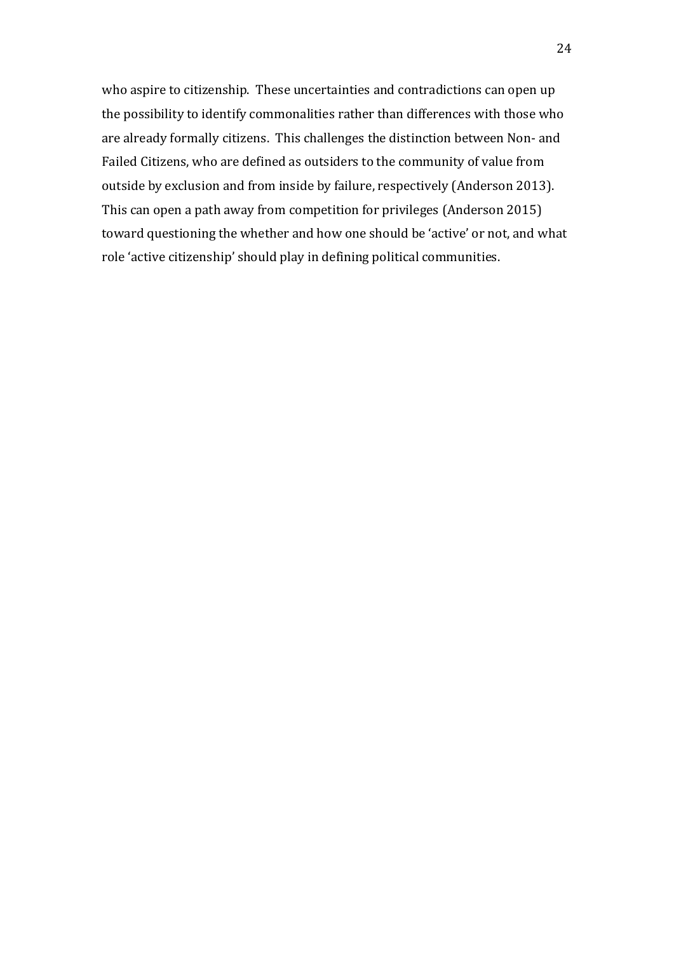who aspire to citizenship. These uncertainties and contradictions can open up the possibility to identify commonalities rather than differences with those who are already formally citizens. This challenges the distinction between Non- and Failed Citizens, who are defined as outsiders to the community of value from outside by exclusion and from inside by failure, respectively (Anderson 2013). This can open a path away from competition for privileges (Anderson 2015) toward questioning the whether and how one should be 'active' or not, and what role 'active citizenship' should play in defining political communities.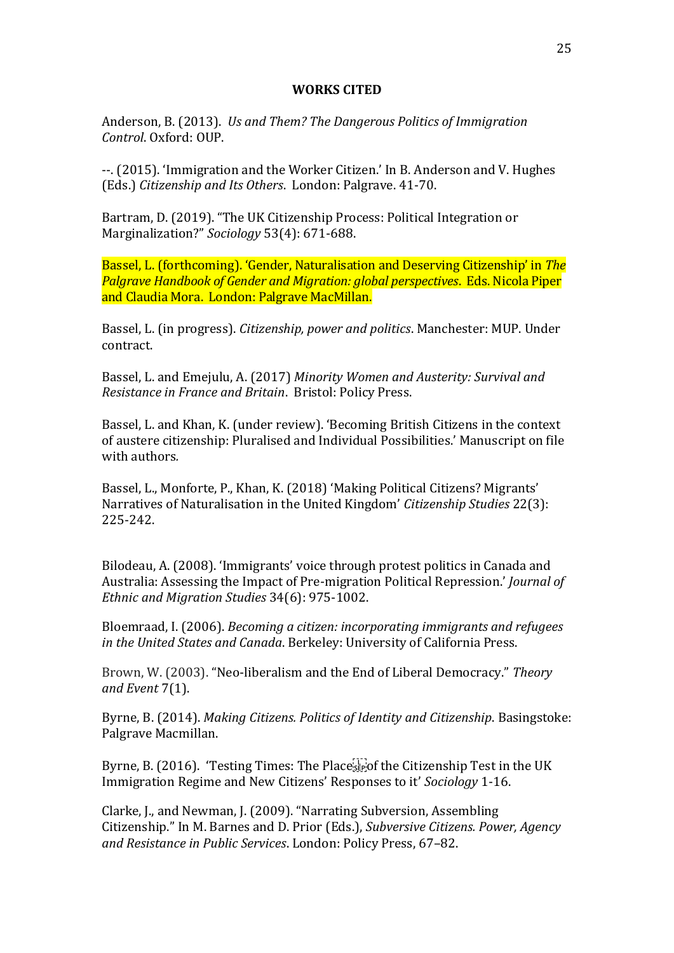#### **WORKS CITED**

Anderson, B. (2013). *Us and Them? The Dangerous Politics of Immigration Control*. Oxford: OUP.

--. (2015). 'Immigration and the Worker Citizen.' In B. Anderson and V. Hughes (Eds.) *Citizenship and Its Others*. London: Palgrave. 41-70.

Bartram, D. (2019). "The UK Citizenship Process: Political Integration or Marginalization?" *Sociology* 53(4): 671-688.

Bassel, L. (forthcoming). 'Gender, Naturalisation and Deserving Citizenship' in *The Palgrave Handbook of Gender and Migration: global perspectives*. Eds. Nicola Piper and Claudia Mora. London: Palgrave MacMillan.

Bassel, L. (in progress). *Citizenship, power and politics*. Manchester: MUP. Under contract.

Bassel, L. and Emejulu, A. (2017) *Minority Women and Austerity: Survival and Resistance in France and Britain*. Bristol: Policy Press.

Bassel, L. and Khan, K. (under review). 'Becoming British Citizens in the context of austere citizenship: Pluralised and Individual Possibilities.' Manuscript on file with authors*.*

Bassel, L., Monforte, P., Khan, K. (2018) 'Making Political Citizens? Migrants' Narratives of Naturalisation in the United Kingdom' *Citizenship Studies* 22(3): 225-242.

Bilodeau, A. (2008). 'Immigrants' voice through protest politics in Canada and Australia: Assessing the Impact of Pre-migration Political Repression.' *Journal of Ethnic and Migration Studies* 34(6): 975-1002.

Bloemraad, I. (2006). *Becoming a citizen: incorporating immigrants and refugees in the United States and Canada*. Berkeley: University of California Press.

Brown, W. (2003). "Neo-liberalism and the End of Liberal Democracy." *Theory and Event* 7(1).

Byrne, B. (2014). *Making Citizens. Politics of Identity and Citizenship*. Basingstoke: Palgrave Macmillan.

Byrne, B. (2016). 'Testing Times: The Place  $\overline{\mathbb{F}}$  of the Citizenship Test in the UK Immigration Regime and New Citizens' Responses to it' *Sociology* 1-16.

Clarke, J., and Newman, J. (2009). "Narrating Subversion, Assembling Citizenship." In M. Barnes and D. Prior (Eds.), *Subversive Citizens. Power, Agency and Resistance in Public Services*. London: Policy Press, 67–82.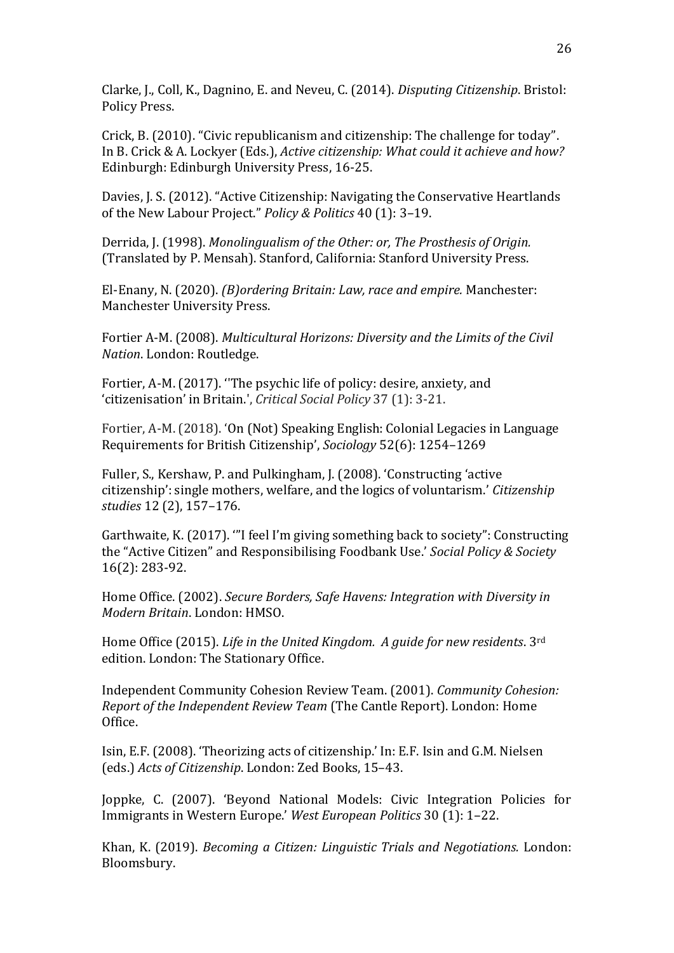Clarke, J., Coll, K., Dagnino, E. and Neveu, C. (2014). *Disputing Citizenship*. Bristol: Policy Press.

Crick, B. (2010). "Civic republicanism and citizenship: The challenge for today". In B. Crick & A. Lockyer (Eds.), *Active citizenship: What could it achieve and how?* Edinburgh: Edinburgh University Press, 16-25.

Davies, J. S. (2012). "Active Citizenship: Navigating the Conservative Heartlands of the New Labour Project." *Policy & Politics* 40 (1): 3–19.

Derrida, J. (1998). *Monolingualism of the Other: or, The Prosthesis of Origin.* (Translated by P. Mensah). Stanford, California: Stanford University Press.

El-Enany, N. (2020). *(B)ordering Britain: Law, race and empire.* Manchester: Manchester University Press.

Fortier A-M. (2008). *Multicultural Horizons: Diversity and the Limits of the Civil Nation*. London: Routledge.

Fortier, A-M. (2017). ''The psychic life of policy: desire, anxiety, and 'citizenisation' in Britain.', *Critical Social Policy* 37 (1): 3-21.

Fortier, A-M. (2018). 'On (Not) Speaking English: Colonial Legacies in Language Requirements for British Citizenship', *Sociology* 52(6): 1254–1269

Fuller, S., Kershaw, P. and Pulkingham, J. (2008). 'Constructing 'active citizenship': single mothers, welfare, and the logics of voluntarism.' *Citizenship studies* 12 (2), 157–176.

Garthwaite, K. (2017). '"I feel I'm giving something back to society": Constructing the "Active Citizen" and Responsibilising Foodbank Use.' *Social Policy & Society*  16(2): 283-92.

Home Office. (2002). *Secure Borders, Safe Havens: Integration with Diversity in Modern Britain*. London: HMSO.

Home Office (2015). *Life in the United Kingdom. A guide for new residents*. 3rd edition. London: The Stationary Office.

Independent Community Cohesion Review Team. (2001). *Community Cohesion: Report of the Independent Review Team* (The Cantle Report). London: Home Office.

Isin, E.F. (2008). 'Theorizing acts of citizenship.' In: E.F. Isin and G.M. Nielsen (eds.) *Acts of Citizenship*. London: Zed Books, 15–43.

Joppke, C. (2007). 'Beyond National Models: Civic Integration Policies for Immigrants in Western Europe.' *West European Politics* 30 (1): 1–22.

Khan, K. (2019). *Becoming a Citizen: Linguistic Trials and Negotiations.* London: Bloomsbury.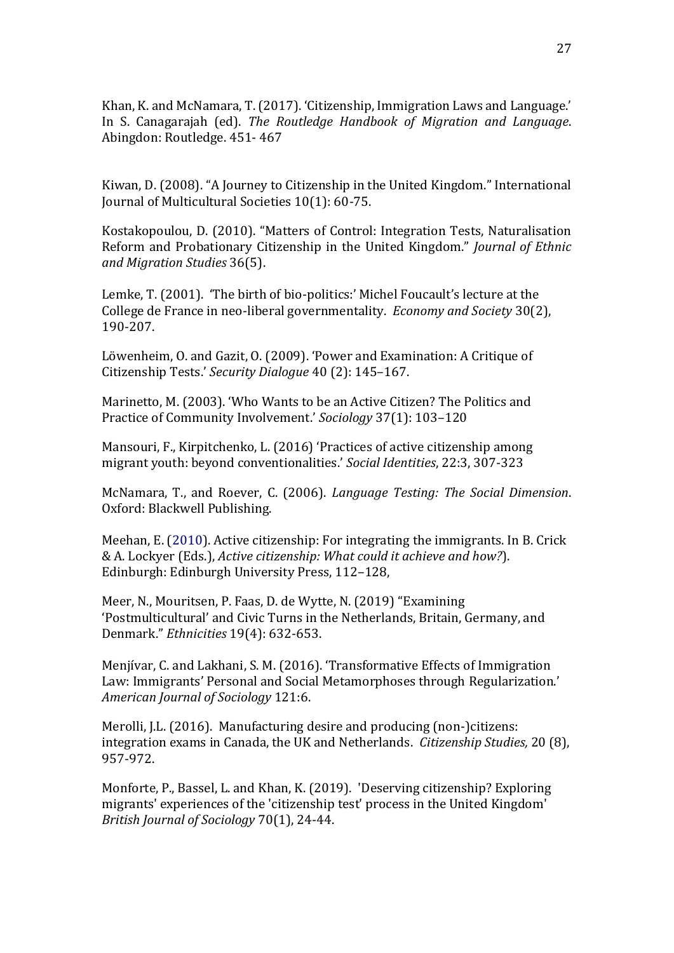Khan, K. and McNamara, T. (2017). 'Citizenship, Immigration Laws and Language.' In S. Canagarajah (ed). *The Routledge Handbook of Migration and Language*. Abingdon: Routledge. 451- 467

Kiwan, D. (2008). "A Journey to Citizenship in the United Kingdom." International Journal of Multicultural Societies 10(1): 60-75.

Kostakopoulou, D. (2010). "Matters of Control: Integration Tests, Naturalisation Reform and Probationary Citizenship in the United Kingdom." *Journal of Ethnic and Migration Studies* 36(5).

Lemke, T. (2001). 'The birth of bio-politics:' Michel Foucault's lecture at the College de France in neo-liberal governmentality. *Economy and Society* 30(2), 190-207.

Löwenheim, O. and Gazit, O. (2009). 'Power and Examination: A Critique of Citizenship Tests.' *Security Dialogue* 40 (2): 145–167.

Marinetto, M. (2003). 'Who Wants to be an Active Citizen? The Politics and Practice of Community Involvement.' *Sociology* 37(1): 103–120

Mansouri, F., Kirpitchenko, L. (2016) 'Practices of active citizenship among migrant youth: beyond conventionalities.' *Social Identities*, 22:3, 307-323

McNamara, T., and Roever, C. (2006). *Language Testing: The Social Dimension*. Oxford: Blackwell Publishing.

Meehan, E. (2010). Active citizenship: For integrating the immigrants. In B. Crick & A. Lockyer (Eds.), *Active citizenship: What could it achieve and how?*). Edinburgh: Edinburgh University Press, 112–128,

Meer, N., Mouritsen, P. Faas, D. de Wytte, N. (2019) "Examining 'Postmulticultural' and Civic Turns in the Netherlands, Britain, Germany, and Denmark." *Ethnicities* 19(4): 632-653.

Menjívar, C. and Lakhani, S. M. (2016). 'Transformative Effects of Immigration Law: Immigrants' Personal and Social Metamorphoses through Regularization.' *American Journal of Sociology* 121:6.

Merolli, I.L. (2016). Manufacturing desire and producing (non-)citizens: integration exams in Canada, the UK and Netherlands. *Citizenship Studies,* 20 (8), 957-972.

Monforte, P., Bassel, L. and Khan, K. (2019). 'Deserving citizenship? Exploring migrants' experiences of the 'citizenship test' process in the United Kingdom' *British Journal of Sociology* 70(1), 24-44.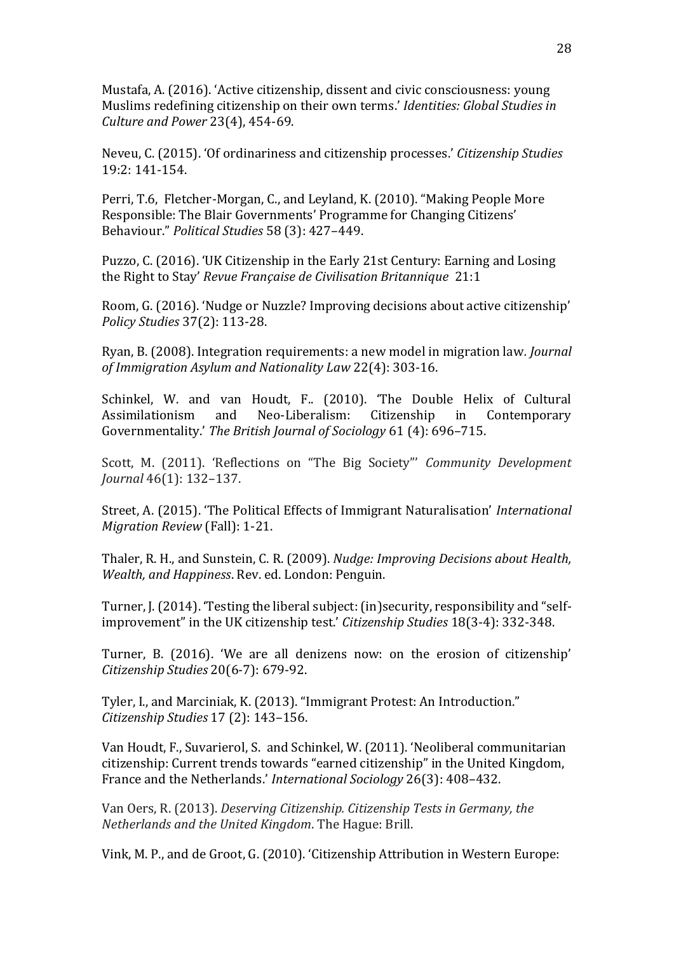Mustafa, A. (2016). 'Active citizenship, dissent and civic consciousness: young Muslims redefining citizenship on their own terms.' *Identities: Global Studies in Culture and Power* 23(4), 454-69.

Neveu, C. (2015). 'Of ordinariness and citizenship processes.' *Citizenship Studies* 19:2: 141-154.

Perri, T.6, Fletcher-Morgan, C., and Leyland, K. (2010). "Making People More Responsible: The Blair Governments' Programme for Changing Citizens' Behaviour." *Political Studies* 58 (3): 427–449.

Puzzo, C. (2016). 'UK Citizenship in the Early 21st Century: Earning and Losing the Right to Stay' *Revue Française de Civilisation Britannique* 21:1

Room, G. (2016). 'Nudge or Nuzzle? Improving decisions about active citizenship' *Policy Studies* 37(2): 113-28.

Ryan, B. (2008). Integration requirements: a new model in migration law*. Journal of Immigration Asylum and Nationality Law* 22(4): 303-16.

Schinkel, W. and van Houdt, F.. (2010). 'The Double Helix of Cultural Assimilationism and Neo-Liberalism: Citizenship in Contemporary Governmentality.' *The British Journal of Sociology* 61 (4): 696–715.

Scott, M. (2011). 'Reflections on "The Big Society"' *Community Development Journal* 46(1): 132–137.

Street, A. (2015). 'The Political Effects of Immigrant Naturalisation' *International Migration Review* (Fall): 1-21.

Thaler, R. H., and Sunstein, C. R. (2009). *Nudge: Improving Decisions about Health, Wealth, and Happiness*. Rev. ed. London: Penguin.

Turner, J. (2014). 'Testing the liberal subject: (in)security, responsibility and "selfimprovement" in the UK citizenship test.' *Citizenship Studies* 18(3-4): 332-348.

Turner, B. (2016). 'We are all denizens now: on the erosion of citizenship' *Citizenship Studies* 20(6-7): 679-92.

Tyler, I., and Marciniak, K. (2013). "Immigrant Protest: An Introduction." *Citizenship Studies* 17 (2): 143–156.

Van Houdt, F., Suvarierol, S. and Schinkel, W. (2011). 'Neoliberal communitarian citizenship: Current trends towards "earned citizenship" in the United Kingdom, France and the Netherlands.' *International Sociology* 26(3): 408–432.

Van Oers, R. (2013). *Deserving Citizenship. Citizenship Tests in Germany, the Netherlands and the United Kingdom*. The Hague: Brill.

Vink, M. P., and de Groot, G. (2010). 'Citizenship Attribution in Western Europe: